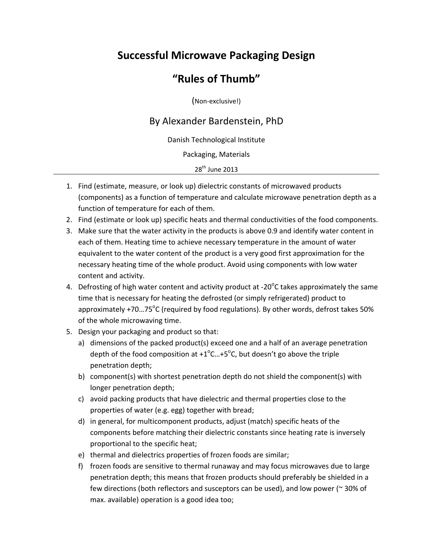## **Successful Microwave Packaging Design**

## **"Rules of Thumb"**

(Non‐exclusive!)

## By Alexander Bardenstein, PhD

Danish Technological Institute

Packaging, Materials

28<sup>th</sup> June 2013

- 1. Find (estimate, measure, or look up) dielectric constants of microwaved products (components) as a function of temperature and calculate microwave penetration depth as a function of temperature for each of them.
- 2. Find (estimate or look up) specific heats and thermal conductivities of the food components.
- 3. Make sure that the water activity in the products is above 0.9 and identify water content in each of them. Heating time to achieve necessary temperature in the amount of water equivalent to the water content of the product is a very good first approximation for the necessary heating time of the whole product. Avoid using components with low water content and activity.
- 4. Defrosting of high water content and activity product at -20 $^{\circ}$ C takes approximately the same time that is necessary for heating the defrosted (or simply refrigerated) product to approximately +70...75<sup>o</sup>C (required by food regulations). By other words, defrost takes 50% of the whole microwaving time.
- 5. Design your packaging and product so that:
	- a) dimensions of the packed product(s) exceed one and a half of an average penetration depth of the food composition at +1 $^{\circ}$ C...+5 $^{\circ}$ C, but doesn't go above the triple penetration depth;
	- b) component(s) with shortest penetration depth do not shield the component(s) with longer penetration depth;
	- c) avoid packing products that have dielectric and thermal properties close to the properties of water (e.g. egg) together with bread;
	- d) in general, for multicomponent products, adjust (match) specific heats of the components before matching their dielectric constants since heating rate is inversely proportional to the specific heat;
	- e) thermal and dielectrics properties of frozen foods are similar;
	- f) frozen foods are sensitive to thermal runaway and may focus microwaves due to large penetration depth; this means that frozen products should preferably be shielded in a few directions (both reflectors and susceptors can be used), and low power (~ 30% of max. available) operation is a good idea too;